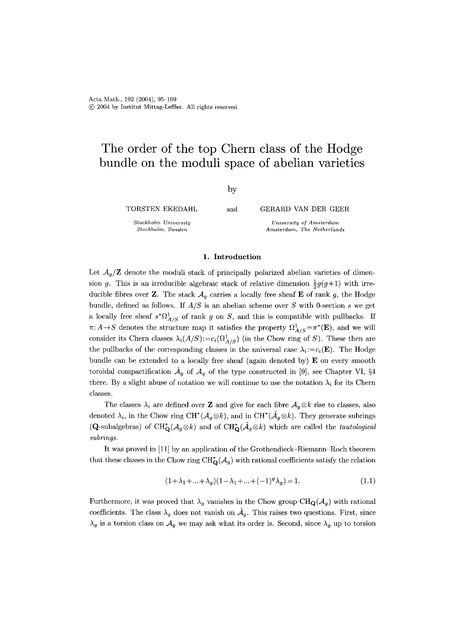# **The order of the top Chern class of the Hodge bundle on the moduli space of abelian varieties**

by

TORSTEN EKEDAHL

*Stockholm University Stockholm, Sweden* 

and GERARD VAN DER GEER

*University of Amsterdam Amsterdam, The Netherlands* 

## **1.** Introduction

Let  $A_q/\mathbb{Z}$  denote the moduli stack of principally polarized abelian varieties of dimension g. This is an irreducible algebraic stack of relative dimension  $\frac{1}{2}g(g+1)$  with irreducible fibres over Z. The stack  $A_q$  carries a locally free sheaf E of rank g, the Hodge bundle, defined as follows. If *A/S* is an abelian scheme over S with 0-section s we get a locally free sheaf  $s^*\Omega^1_{A/S}$  of rank g on S, and this is compatible with pullbacks. If  $\pi: A \to S$  denotes the structure map it satisfies the property  $\Omega^1_{A/S} = \pi^*(\mathbf{E})$ , and we will consider its Chern classes  $\lambda_i(A/S) := c_i(\Omega^1_{A/S})$  (in the Chow ring of S). These then are the pullbacks of the corresponding classes in the universal case  $\lambda_i := c_i(\mathbf{E})$ . The Hodge bundle can be extended to a locally free sheaf (again denoted by) E on every smooth toroidal compactification  $\bar{\mathcal{A}}_q$  of  $\mathcal{A}_q$  of the type constructed in [9], see Chapter VI, §4 there. By a slight abuse of notation we will continue to use the notation  $\lambda_i$  for its Chern classes.

The classes  $\lambda_i$  are defined over **Z** and give for each fibre  $A_g \otimes k$  rise to classes, also denoted  $\lambda_i$ , in the Chow ring CH<sup>\*</sup>( $\mathcal{A}_g \otimes k$ ), and in CH<sup>\*</sup>( $\mathcal{A}_g \otimes k$ ). They generate subrings (Q-subalgebras) of  $\text{CH}^*_{\mathbf{Q}}(\mathcal{A}_g\otimes k)$  and of  $\text{CH}^*_{\mathbf{Q}}(\tilde{\mathcal{A}}_g\otimes k)$  which are called the *tautological subrings.* 

It was proved in [11] by an application of the Grothendieck-Riemann-Roch theorem that these classes in the Chow ring  $\text{CH}_{\mathbf{Q}}^{*}(\mathcal{A}_{g})$  with rational coefficients satisfy the relation

$$
(1 + \lambda_1 + \dots + \lambda_g)(1 - \lambda_1 + \dots + (-1)^g \lambda_g) = 1.
$$
\n(1.1)

Furthermore, it was proved that  $\lambda_g$  vanishes in the Chow group CH<sub>Q</sub>( $\mathcal{A}_g$ ) with rational coefficients. The class  $\lambda_g$  does not vanish on  $\mathcal{A}_g$ . This raises two questions. First, since  $\lambda_g$  is a torsion class on  $\mathcal{A}_g$  we may ask what its order is. Second, since  $\lambda_g$  up to torsion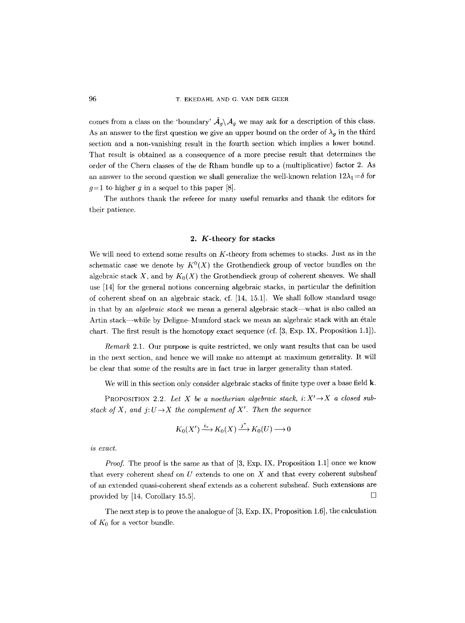comes from a class on the 'boundary'  $\tilde{A}_q \setminus A_q$  we may ask for a description of this class. As an answer to the first question we give an upper bound on the order of  $\lambda_g$  in the third section and a non-vanishing result in the fourth section which implies a lower bound. That result is obtained as a consequence of a more precise result that determines the order of the Chern classes of the de Rham bundle up to a (multiplicative) factor 2. As an answer to the second question we shall generalize the well-known relation  $12\lambda_1 = \delta$  for  $g=1$  to higher g in a sequel to this paper [8].

The authors thank the referee for many useful remarks and thank the editors for their patience.

### **2.** K-theory for stacks

We will need to extend some results on  $K$ -theory from schemes to stacks. Just as in the schematic case we denote by  $K^0(X)$  the Grothendieck group of vector bundles on the algebraic stack X, and by  $K_0(X)$  the Grothendieck group of coherent sheaves. We shall use [14] for the general notions concerning algebraic stacks, in particular the definition of coherent sheaf on an algebraic stack, cf. [14, 15.1]. We shall follow standard usage in that by an *algebraic stack* we mean a general algebraic stack what is also called an Artin stack—while by Deligne-Mumford stack we mean an algebraic stack with an étale chart. The first result is the homotopy exact sequence (cf. [3, Exp. IX, Proposition 1.1]).

*Remark* 2.1. Our purpose is quite restricted, we only want results that can be used in the next section, and hence we will make no attempt at maximum generality. It will be clear that some of the results are in fact true in larger generality than stated.

We will in this section only consider algebraic stacks of finite type over a base field **k**.

PROPOSITION 2.2. Let X be a noetherian algebraic stack,  $i: X' \rightarrow X$  a closed sub*stack of X, and*  $j: U \rightarrow X$  *the complement of X'. Then the sequence* 

$$
K_0(X') \xrightarrow{i_*} K_0(X) \xrightarrow{j^*} K_0(U) \longrightarrow 0
$$

*is exact.* 

*Proof.* The proof is the same as that of [3, Exp. IX, Proposition 1.1] once we know that every coherent sheaf on  $U$  extends to one on  $X$  and that every coherent subsheaf of an extended quasi-coherent sheaf extends as a coherent subsheaf. Such extensions are provided by [14, Corollary 15.5].  $\square$ 

The next step is to prove the analogue of [3, Exp. IX, Proposition 1.6], the calculation of  $K_0$  for a vector bundle.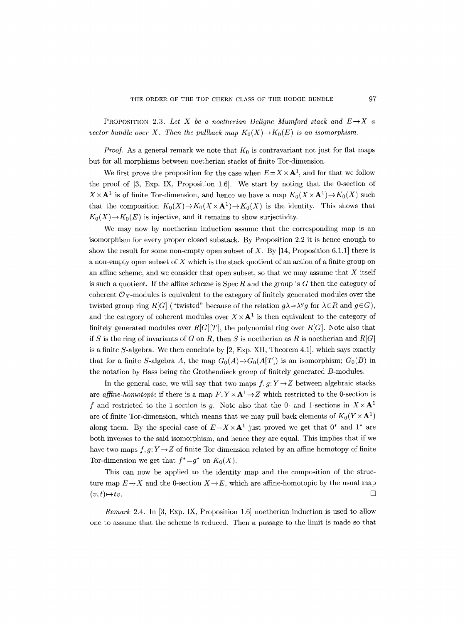PROPOSITION 2.3. Let X be a noetherian Deligne-Mumford stack and  $E \rightarrow X$  a *vector bundle over X. Then the pullback map*  $K_0(X) \to K_0(E)$  *is an isomorphism.* 

*Proof.* As a general remark we note that  $K_0$  is contravariant not just for flat maps but for all morphisms between noetherian stacks of finite Tor-dimension.

We first prove the proposition for the case when  $E=X\times A<sup>1</sup>$ , and for that we follow the proof of [3, Exp. IX, Proposition 1.6]. We start by noting that the 0-section of  $X \times A<sup>1</sup>$  is of finite Tor-dimension, and hence we have a map  $K_0(X \times A<sup>1</sup>) \to K_0(X)$  such that the composition  $K_0(X) \to K_0(X \times \mathbf{A}^1) \to K_0(X)$  is the identity. This shows that  $K_0(X) \to K_0(E)$  is injective, and it remains to show surjectivity.

We may now by noetherian induction assume that the corresponding map is an isomorphism for every proper closed substack. By Proposition 2.2 it is hence enough to show the result for some non-empty open subset of X. By [14, Proposition 6.1.1] there is a non-empty open subset of  $X$  which is the stack quotient of an action of a finite group on an affine scheme, and we consider that open subset, so that we may assume that  $X$  itself is such a quotient. If the affine scheme is  $Spec R$  and the group is  $G$  then the category of coherent  $\mathcal{O}_X$ -modules is equivalent to the category of finitely generated modules over the twisted group ring *R[G]* ("twisted" because of the relation  $g\lambda = \lambda^g g$  for  $\lambda \in R$  and  $g \in G$ ), and the category of coherent modules over  $X \times \mathbf{A}^1$  is then equivalent to the category of finitely generated modules over  $R[G][T]$ , the polynomial ring over  $R[G]$ . Note also that if S is the ring of invariants of G on R, then S is noetherian as R is noetherian and  $R[G]$ is a finite  $S$ -algebra. We then conclude by [2, Exp. XII, Theorem 4.1], which says exactly that for a finite S-algebra A, the map  $G_0(A) \rightarrow G_0(A[T])$  is an isomorphism;  $G_0(B)$  in the notation by Bass being the Grothendieck group of finitely generated B-modules.

In the general case, we will say that two maps  $f, g: Y \rightarrow Z$  between algebraic stacks are *affine-homotopic* if there is a map  $F: Y \times \mathbf{A}^1 \to Z$  which restricted to the 0-section is f and restricted to the 1-section is g. Note also that the 0- and 1-sections in  $X \times A<sup>1</sup>$ are of finite Tor-dimension, which means that we may pull back elements of  $K_0(Y\times A^1)$ along them. By the special case of  $E = X \times A^1$  just proved we get that  $0^*$  and  $1^*$  are both inverses to the said isomorphism, and hence they are equal. This implies that if we have two maps  $f, g: Y \rightarrow Z$  of finite Tor-dimension related by an affine homotopy of finite Tor-dimension we get that  $f^* = g^*$  on  $K_0(X)$ .

This can now be applied to the identity map and the composition of the structure map  $E \rightarrow X$  and the 0-section  $X \rightarrow E$ , which are affine-homotopic by the usual map  $(v, t) \rightarrow tv.$ 

*Remark* 2.4. In [3, Exp. IX, Proposition 1.6] noetherian induction is used to allow one to assume that the scheme is reduced. Then a passage to the limit is made so that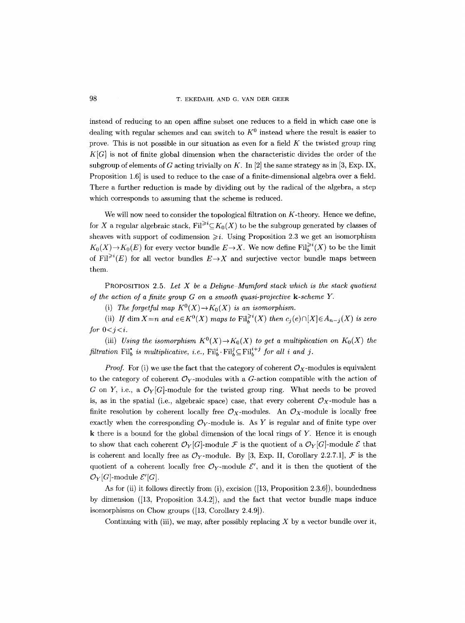98 T. EKEDAHL AND G. VAN DER GEER

instead of reducing to an open affine subset one reduces to a field in which case one is dealing with regular schemes and can switch to  $K^0$  instead where the result is easier to prove. This is not possible in our situation as even for a field  $K$  the twisted group ring *K[G]* is not of finite global dimension when the characteristic divides the order of the subgroup of elements of G acting trivially on K. In [2] the same strategy as in [3, Exp. IX, Proposition 1.6] is used to reduce to the case of a finite-dimensional algebra over a field. There a further reduction is made by dividing out by the radical of the algebra, a step which corresponds to assuming that the scheme is reduced.

We will now need to consider the topological filtration on  $K$ -theory. Hence we define, for X a regular algebraic stack,  $Fil^{\geq i} \subset K_0(X)$  to be the subgroup generated by classes of sheaves with support of codimension  $\geq i$ . Using Proposition 2.3 we get an isomorphism  $K_0(X) \to K_0(E)$  for every vector bundle  $E \to X$ . We now define  $\text{Fil}_{h}^{\geq i}(X)$  to be the limit of Fil<sup> $\geq i(E)$ </sup> for all vector bundles  $E \rightarrow X$  and surjective vector bundle maps between them.

PROPOSITION 2.5. *Let X be a Deligne Mumford stack which is the stack quotient of the action of a finite group G on a smooth quasi-projective k-scheme Y.* 

(i) The forgetful map  $K^0(X) \to K_0(X)$  is an isomorphism.

(ii) *If* dim  $X=n$  *and*  $e \in K^0(X)$  *maps to*  $\text{Fil}_{h}^{\geq i}(X)$  *then*  $c_i(e) \cap [X] \in A_{n-i}(X)$  *is zero* for  $0 < i < i$ .

(iii) *Using the isomorphism*  $K^0(X) \to K_0(X)$  to get a multiplication on  $K_0(X)$  the *filtration*  $\text{Fil}^{\bullet}_{b}$  *is multiplicative, i.e.,*  $\text{Fil}^i_{b} \cdot \text{Fil}^j_{b} \subseteq \text{Fil}^{i+j}$  *for all i and j.* 

*Proof.* For (i) we use the fact that the category of coherent  $\mathcal{O}_X$ -modules is equivalent to the category of coherent  $\mathcal{O}_Y$ -modules with a G-action compatible with the action of G on Y, i.e., a  $\mathcal{O}_Y[G]$ -module for the twisted group ring. What needs to be proved is, as in the spatial (i.e., algebraic space) case, that every coherent  $\mathcal{O}_X$ -module has a finite resolution by coherent locally free  $\mathcal{O}_X$ -modules. An  $\mathcal{O}_X$ -module is locally free exactly when the corresponding  $\mathcal{O}_Y$ -module is. As Y is regular and of finite type over k there is a bound for the global dimension of the local rings of Y. Hence it is enough to show that each coherent  $\mathcal{O}_Y[G]$ -module  $\mathcal F$  is the quotient of a  $\mathcal{O}_Y[G]$ -module  $\mathcal E$  that is coherent and locally free as  $\mathcal{O}_Y$ -module. By [3, Exp. II, Corollary 2.2.7.1],  $\mathcal F$  is the quotient of a coherent locally free  $\mathcal{O}_Y$ -module  $\mathcal{E}'$ , and it is then the quotient of the  $\mathcal{O}_Y[G]$ -module  $\mathcal{E}'[G]$ .

As for (ii) it follows directly from (i), excision ([13, Proposition 2.3.6]), boundedness by dimension ([13, Proposition 3.4.2]), and the fact that vector bundle maps induce isomorphisms on Chow groups ([13, Corollary 2.4.9]).

Continuing with (iii), we may, after possibly replacing  $X$  by a vector bundle over it,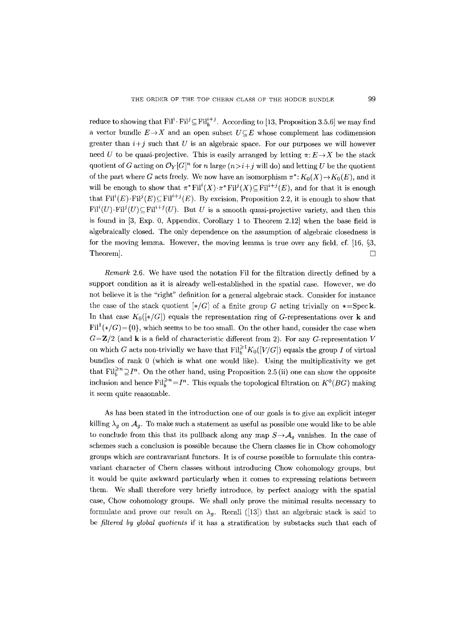reduce to showing that  $\text{Fil}^i\text{-}\text{Fil}^i\subseteq \text{Fil}^{i+j}$ . According to [13, Proposition 3.5.6] we may find a vector bundle  $E \rightarrow X$  and an open subset  $U \subseteq E$  whose complement has codimension greater than  $i+j$  such that U is an algebraic space. For our purposes we will however need U to be quasi-projective. This is easily arranged by letting  $\pi: E \rightarrow X$  be the stack quotient of G acting on  $\mathcal{O}_Y[G]^n$  for n large  $(n \geq i + j$  will do) and letting U be the quotient of the part where G acts freely. We now have an isomorphism  $\pi^*: K_0(X) \to K_0(E)$ , and it will be enough to show that  $\pi^* \text{Fil}^i(X) \cdot \pi^* \text{Fil}^j(X) \subseteq \text{Fil}^{i+j}(E)$ , and for that it is enough that  $\text{Fil}^i(E) \cdot \text{Fil}^i(E) \subseteq \text{Fil}^{i+j}(E)$ . By excision, Proposition 2.2, it is enough to show that  $Fil^i(U)\cdot Fil^j(U)\subseteq Fil^{i+j}(U)$ . But U is a smooth quasi-projective variety, and then this is found in [3, Exp. 0, Appendix, Corollary 1 to Theorem 2.12] when the base field is algebraically closed. The only dependence on the assumption of algebraic closedness is for the moving lemma. However, the moving lemma is true over any field, cf.  $[16, §3]$ , Theorem].  $\Box$ 

*Remark* 2.6. We have used the notation Fil for the filtration directly defined by a support condition as it is already well-established in the spatial case. However, we do not believe it is the "right" definition for a general algebraic stack. Consider for instance the case of the stack quotient  $\left[\ast/G\right]$  of a finite group G acting trivially on  $\ast=\mathrm{Spec}\,\mathbf{k}$ . In that case  $K_0(\llbracket * / G \rrbracket)$  equals the representation ring of G-representations over k and  $\text{Fil}^1(*/G) = \{0\}$ , which seems to be too small. On the other hand, consider the case when  $G=\mathbf{Z}/2$  (and **k** is a field of characteristic different from 2). For any G-representation V on which G acts non-trivially we have that  $Fil_k^{\geq 1}K_0([V/G])$  equals the group I of virtual bundles of rank 0 (which is what one would like). Using the multiplicativity we get that  $\text{Fil}_{h}^{\geqslant n}\supseteq I^{n}$ . On the other hand, using Proposition 2.5 (ii) one can show the opposite inclusion and hence  $\text{Fil}_{b}^{\geq n} = I^n$ . This equals the topological filtration on  $K^0(BG)$  making it seem quite reasonable.

As has been stated in the introduction one of our goals is to give an explicit integer killing  $\lambda_g$  on  $\mathcal{A}_g$ . To make such a statement as useful as possible one would like to be able to conclude from this that its pullback along any map  $S \rightarrow A_q$  vanishes. In the case of schemes such a conclusion is possible because the Chern classes lie in Chow cohomology groups which are contravariant functors. It is of course possible to formulate this contravariant character of Chern classes without introducing Chow cohomology groups, but it would be quite awkward particularly when it comes to expressing relations between them. We shall therefore very briefly introduce, by perfect analogy with the spatial case, Chow cohomology groups. We shall only prove the minimal results necessary to formulate and prove our result on  $\lambda_q$ . Recall ([13]) that an algebraic stack is said to be *filtered by global quotients* if it has a stratification by substacks such that each of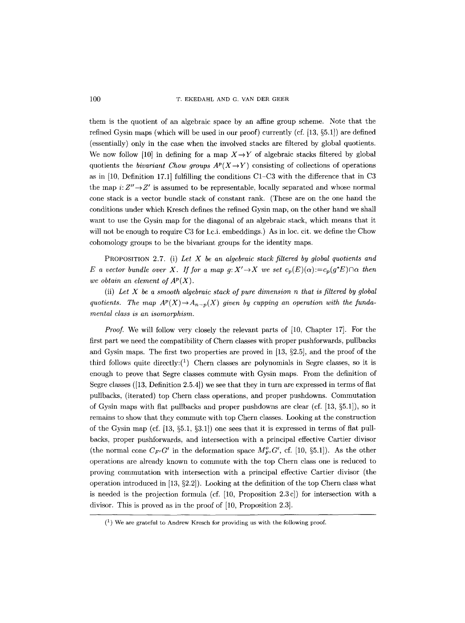100 T. EKEDAHL AND G. VAN DER GEER

them is the quotient of an algebraic space by an affine group scheme. Note that the refined Gysin maps (which will be used in our proof) currently (cf.  $[13, §5.1]$ ) are defined (essentially) only in the case when the involved stacks are filtered by global quotients. We now follow [10] in defining for a map  $X \rightarrow Y$  of algebraic stacks filtered by global quotients the *bivariant Chow groups*  $A^p(X \to Y)$  consisting of collections of operations as in  $[10,$  Definition 17.1] fulfilling the conditions C1–C3 with the difference that in C3 the map  $i: Z'' \rightarrow Z'$  is assumed to be representable, locally separated and whose normal cone stack is a vector bundle stack of constant rank. (These are on the one hand the conditions under which Kresch defines the refined Gysin map, on the other hand we shall want to use the Gysin map for the diagonal of an algebraic stack, which means that it will not be enough to require C3 for l.c.i. embeddings.) As in loc. cit. we define the Chow cohomology groups to be the bivariant groups for the identity maps.

PROPOSITION 2.7. (i) *Let X be an algebraic stack filtered by global quotients and E a vector bundle over X. If for a map g:*  $X' \rightarrow X$  *we set*  $c_p(E)(\alpha) := c_p(g^*E) \cap \alpha$  *then we obtain an element of*  $A^p(X)$ *.* 

(ii) *Let X be a smooth algebraic stack of pure dimension n that is filtered by global*  quotients. The map  $A^p(X) \to A_{n-p}(X)$  given by cupping an operation with the funda*mental class is an isomorphism.* 

*Proof.* We will follow very closely the relevant parts of [10, Chapter 17]. For the first part we need the compatibility of Chern classes with proper pushforwards, pullbacks and Gysin maps. The first two properties are proved in  $[13, §2.5]$ , and the proof of the third follows quite directly: $(1)$  Chern classes are polynomials in Segre classes, so it is enough to prove that Segre classes commute with Gysin maps. From the definition of Segre classes ([13, Definition 2.5.4]) we see that they in turn are expressed in terms of flat pullbacks, (iterated) top Chern class operations, and proper pushdowns. Commutation of Gysin maps with flat pullbacks and proper pushdowns are clear (cf.  $[13, \S 5.1]$ ), so it remains to show that they commute with top Chern classes. Looking at the construction of the Gysin map (cf.  $[13, \S5.1, \S3.1]$ ) one sees that it is expressed in terms of flat pullbacks, proper pushforwards, and intersection with a principal effective Cartier divisor (the normal cone  $C_{F'}G'$  in the deformation space  $M_{F'}^oG'$ , cf. [10, §5.1]). As the other operations are already known to commute with the top Chern class one is reduced to proving commutation with intersection with a principal effective Cartier divisor (the operation introduced in  $[13, §2.2]$ . Looking at the definition of the top Chern class what is needed is the projection formula (cf. [10, Proposition 2.3c]) for intersection with a divisor. This is proved as in the proof of [10, Proposition 2.3].

 $(1)$  We are grateful to Andrew Kresch for providing us with the following proof.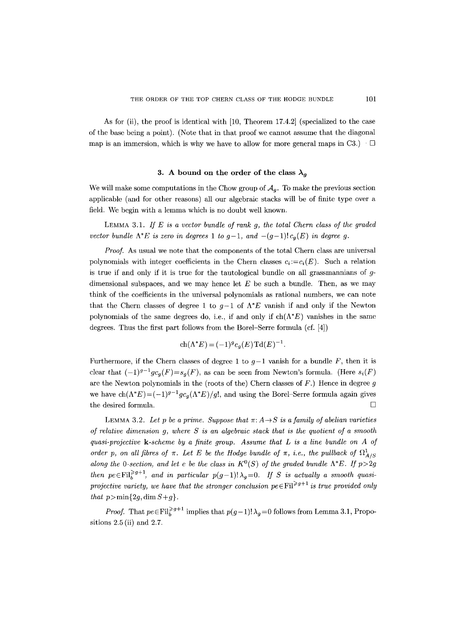As for (ii), the proof is identical with [10, Theorem 17.4.2] (specialized to the case of the base being a point). (Note that in that proof we cannot assume that the diagonal map is an immersion, which is why we have to allow for more general maps in C3.)  $\Box$ 

## 3. A bound on the order of the class  $\lambda_q$

We will make some computations in the Chow group of  $A_q$ . To make the previous section applicable (and for other reasons) all our algebraic stacks will be of finite type over a field. We begin with a lemma which is no doubt well known.

LEMMA 3.1. *If E is a vector bundle of rank g, the total Chern class of the graded vector bundle*  $\Lambda^*E$  *is zero in degrees* 1 *to*  $g-1$ *,* and  $-(g-1)! c_g(E)$  *in degree g.* 

*Proof.* As usual we note that the components of the total Chern class are universal polynomials with integer coefficients in the Chern classes  $c_i := c_i(E)$ . Such a relation is true if and only if it is true for the tautological bundle on all grassmannians of  $g$ dimensional subspaces, and we may hence let  $E$  be such a bundle. Then, as we may think of the coefficients in the universal polynomials as rational numbers, we can note that the Chern classes of degree 1 to  $g-1$  of  $\Lambda^*E$  vanish if and only if the Newton polynomials of the same degrees do, i.e., if and only if  $ch(\Lambda^*E)$  vanishes in the same degrees. Thus the first part follows from the Borel-Serre formula (cf. [4])

$$
ch(\Lambda^* E) = (-1)^g c_g(E) \mathrm{Td}(E)^{-1}.
$$

Furthermore, if the Chern classes of degree 1 to  $g-1$  vanish for a bundle F, then it is clear that  $(-1)^{g-1}gc_g(F)=s_g(F)$ , as can be seen from Newton's formula. (Here  $s_i(F)$ ) are the Newton polynomials in the (roots of the) Chern classes of  $F$ .) Hence in degree  $g$ we have  $\text{ch}(\Lambda^*E) = (-1)^{g-1} g c_g(\Lambda^*E)/g!$ , and using the Borel–Serre formula again gives the desired formula.  $\Box$ 

LEMMA 3.2. Let p be a prime. Suppose that  $\pi: A \rightarrow S$  is a family of abelian varieties *of relative dimension g, where S is an algebraic stack that is the quotient of a smooth quasi-projective k-scheme by a finite group. Assume that L is a line bundle on A of order p, on all fibres of*  $\pi$ *. Let E be the Hodge bundle of*  $\pi$ , *i.e., the pullback of*  $\Omega^1_{A/S}$ *along the O-section, and let e be the class in*  $K^0(S)$  of the graded bundle  $\Lambda^*E$ . If  $p>2g$ *then pe* $\in$ Fil<sup>2g+1</sup>, and in particular  $p(g-1)$ ! $\lambda_g=0$ . If S is actually a smooth quasi*projective variety, we have that the stronger conclusion*  $pe \in \text{Fil}^{\geq g+1}$  *is true provided only that*  $p>\min\{2g,\dim S+g\}.$ 

*Proof.* That  $pe \in \text{Fil}_{h}^{\geq g+1}$  implies that  $p(g-1)! \lambda_{g}=0$  follows from Lemma 3.1, Propositions 2.5 (ii) and 2.7.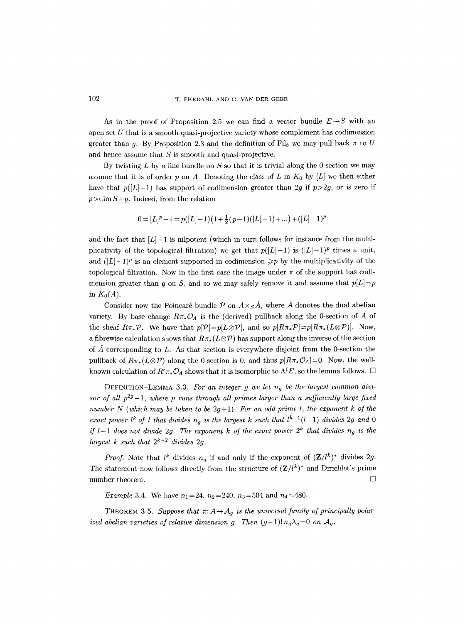As in the proof of Proposition 2.5 we can find a vector bundle  $E\rightarrow S$  with an open set  $U$  that is a smooth quasi-projective variety whose complement has codimension greater than g. By Proposition 2.3 and the definition of Fil<sub>b</sub> we may pull back  $\pi$  to U and hence assume that  $S$  is smooth and quasi-projective.

By twisting  $L$  by a line bundle on  $S$  so that it is trivial along the 0-section we may assume that it is of order p on A. Denoting the class of L in  $K_0$  by [L] we then either have that  $p([L]-1)$  has support of codimension greater than 2g if  $p>2g$ , or is zero if  $p > \dim S + q$ . Indeed, from the relation

$$
0 = [L]^p - 1 = p([L]-1)(1 + \frac{1}{2}(p-1)([L]-1) + ...) + ([L]-1)^p
$$

and the fact that  $[L]-1$  is nilpotent (which in turn follows for instance from the multiplicativity of the topological filtration) we get that  $p([L]-1)$  is  $([L]-1)^p$  times a unit, and  $([L] - 1)^p$  is an element supported in codimension  $\geq p$  by the multiplicativity of the topological filtration. Now in the first case the image under  $\pi$  of the support has codimension greater than q on S, and so we may safely remove it and assume that  $p[L]=p$ in  $K_0(A)$ .

Consider now the Poincaré bundle P on  $A\times_S A$ , where A denotes the dual abelian variety. By base change  $R\pi_*\mathcal{O}_A$  is the (derived) pullback along the 0-section of  $\AA$  of the sheaf  $R\pi_*\mathcal{P}$ . We have that  $p[\mathcal{P}]=p[L\otimes \mathcal{P}]$ , and so  $p[R\pi_*\mathcal{P}]=p[R\pi_*(L\otimes \mathcal{P})]$ . Now, a fibrewise calculation shows that  $R\pi_*(L \otimes \mathcal{P})$  has support along the inverse of the section of  $\check{A}$  corresponding to L. As that section is everywhere disjoint from the 0-section the pullback of  $R\pi_*(L\otimes \mathcal{P})$  along the 0-section is 0, and thus  $p[R\pi_*\mathcal{O}_A]=0$ . Now, the wellknown calculation of  $R^i \pi_* \mathcal{O}_A$  shows that it is isomorphic to  $\Lambda^i E$ , so the lemma follows.  $\Box$ 

DEFINITION-LEMMA 3.3. *For an integer g we let ng be the largest common divisor of all*  $p^{2g}-1$ *, where p runs through all primes larger than a sufficiently large fixed number N (which may be taken to be* 2g+1). *For an odd prime l, the exponent k of the exact power l<sup>k</sup> of l that divides*  $n_g$  *is the largest k such that*  $l^{k-1}(l-1)$  *divides* 2g and 0 *if l*-1 does not divide 2g. The exponent k of the exact power  $2^k$  that divides  $n_g$  is the *largest k such that*  $2^{k-2}$  *divides* 2g.

*Proof.* Note that  $l^k$  divides  $n_q$  if and only if the exponent of  $(\mathbf{Z}/l^k)^*$  divides 2g. The statement now follows directly from the structure of  $(\mathbf{Z}/l^k)^*$  and Dirichlet's prime number theorem.  $\Box$ 

*Example 3.4.* We have  $n_1 = 24$ ,  $n_2 = 240$ ,  $n_3 = 504$  and  $n_4 = 480$ .

THEOREM 3.5. Suppose that  $\pi: A \rightarrow A_g$  is the universal family of principally polar*ized abelian varieties of relative dimension g. Then*  $(g-1)! n_g \lambda_g = 0$  on  $\mathcal{A}_g$ .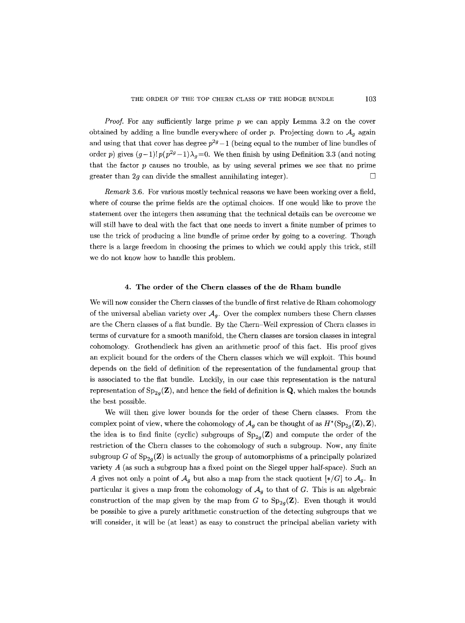*Proof.* For any sufficiently large prime p we can apply Lemma 3.2 on the cover obtained by adding a line bundle everywhere of order p. Projecting down to  $A<sub>q</sub>$  again and using that that cover has degree  $p^{2g}-1$  (being equal to the number of line bundles of order p) gives  $(g-1)!p(p^{2g}-1)\lambda_g=0$ . We then finish by using Definition 3.3 (and noting that the factor  $p$  causes no trouble, as by using several primes we see that no prime greater than 2q can divide the smallest annihilating integer).  $\Box$ 

*Remark* 3.6. For various mostly technical reasons we have been working over a field, where of course the prime fields are the optimal choices. If one would like to prove the statement over the integers then assuming that the technical details can be overcome we will still have to deal with the fact that one needs to invert a finite number of primes to use the trick of producing a line bundle of prime order by going to a covering. Though there is a large freedom in choosing the primes to which we could apply this trick, still we do not know how to handle this problem.

## 4. The order of the Chern classes of the de Rham bundle

We will now consider the Chern classes of the bundle of first relative de Rham cohomology of the universal abelian variety over  $A_q$ . Over the complex numbers these Chern classes are the Chern classes of a flat bundle. By the Chern-Weil expression of Chern classes in terms of curvature for a smooth manifold, the Chern classes are torsion classes in integral cohomology. Grothendieck has given an arithmetic proof of this fact. His proof gives an explicit bound for the orders of the Chern classes which we will exploit. This bound depends on the field of definition of the representation of the fundamental group that is associated to the flat bundle. Luckily, in our case this representation is the natural representation of  $Sp_{2q}(\mathbf{Z})$ , and hence the field of definition is  $\mathbf{Q}$ , which makes the bounds the best possible.

We will then give lower bounds for the order of these Chern classes. From the complex point of view, where the cohomology of  $\mathcal{A}_q$  can be thought of as  $H^*(\mathrm{Sp}_{2q}(\mathbf{Z}), \mathbf{Z}),$ the idea is to find finite (cyclic) subgroups of  $Sp_{2q}(Z)$  and compute the order of the restriction of the Chern classes to the cohomology of such a subgroup. Now, any finite subgroup G of  $Sp_{2q}(\mathbf{Z})$  is actually the group of automorphisms of a principally polarized variety  $A$  (as such a subgroup has a fixed point on the Siegel upper half-space). Such an A gives not only a point of  $\mathcal{A}_q$  but also a map from the stack quotient  $[*/G]$  to  $\mathcal{A}_q$ . In particular it gives a map from the cohomology of  $A<sub>q</sub>$  to that of G. This is an algebraic construction of the map given by the map from G to  $Sp_{2q}(\mathbf{Z})$ . Even though it would be possible to give a purely arithmetic construction of the detecting subgroups that we will consider, it will be (at least) as easy to construct the principal abelian variety with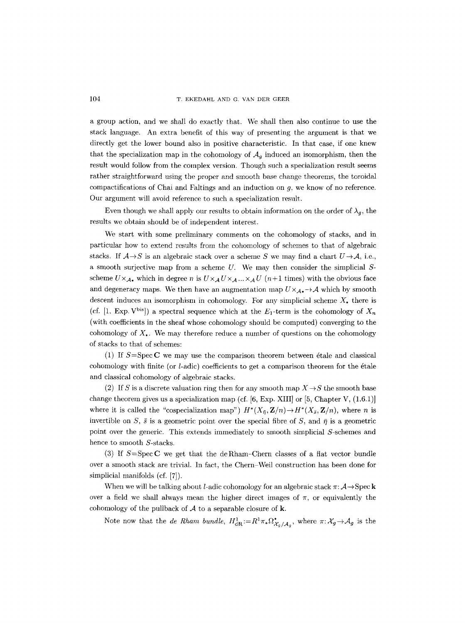a group action, and we shall do exactly that. We shall then also continue to use the stack language. An extra benefit of this way of presenting the argument is that we directly get the lower bound also in positive characteristic. In that case, if one knew that the specialization map in the cohomology of  $A<sub>g</sub>$  induced an isomorphism, then the result would follow from the complex version. Though such a specialization result seems rather straightforward using the proper and smooth base change theorems, the toroidal compactifications of Chai and Faltings and an induction on g, we know of no reference. Our argument will avoid reference to such a specialization result.

Even though we shall apply our results to obtain information on the order of  $\lambda_q$ , the results we obtain should be of independent interest.

We start with some preliminary comments on the cohomology of stacks, and in particular how to extend results from the cohomology of schemes to that of algebraic stacks. If  $A \rightarrow S$  is an algebraic stack over a scheme S we may find a chart  $U \rightarrow A$ , i.e., a smooth surjective map from a scheme  $U$ . We may then consider the simplicial  $S$ scheme  $U \times_{A_{\bullet}}$  which in degree n is  $U \times_A U \times_A ... \times_A U$  (n+1 times) with the obvious face and degeneracy maps. We then have an augmentation map  $U\times_{A_\bullet}$   $\rightarrow$  A which by smooth descent induces an isomorphism in cohomology. For any simplicial scheme  $X_{\bullet}$  there is (cf. [1, Exp. V<sup>bis</sup>]) a spectral sequence which at the  $E_1$ -term is the cohomology of  $X_n$ (with coefficients in the sheaf whose cohomology should be computed) converging to the cohomology of  $X_{\bullet}$ . We may therefore reduce a number of questions on the cohomology of stacks to that of schemes:

(1) If  $S = \text{Spec } \mathbb{C}$  we may use the comparison theorem between étale and classical cohomology with finite (or l-adic) coefficients to get a comparison theorem for the 6tale and classical eohomology of algebraic stacks.

(2) If S is a discrete valuation ring then for any smooth map  $X \rightarrow S$  the smooth base change theorem gives us a specialization map (cf.  $[6, \text{Exp. XIII}]$  or  $[5, \text{Chapter V}, (1.6.1)]$ where it is called the "cospecialization map")  $H^*(X_{\bar{n}}, \mathbf{Z}/n) \to H^*(X_{\bar{s}}, \mathbf{Z}/n)$ , where *n* is invertible on S,  $\bar{s}$  is a geometric point over the special fibre of S, and  $\bar{\eta}$  is a geometric point over the generic. This extends immediately to smooth simplieial S-schemes and hence to smooth S-stacks.

(3) If  $S = \text{Spec } C$  we get that the deRham-Chern classes of a flat vector bundle over a smooth stack are trivial. In fact, the Chern Weil construction has been done for simplicial manifolds (cf. [7]).

When we will be talking about *l*-adic cohomology for an algebraic stack  $\pi: \mathcal{A} \rightarrow \text{Spec } \mathbf{k}$ over a field we shall always mean the higher direct images of  $\pi$ , or equivalently the cohomology of the pullback of  $A$  to a separable closure of  $k$ .

Note now that the *de Rham bundle*,  $H_{\text{dR}}^1 := R^1 \pi_* \Omega_{\mathcal{X}_a/A_a}^{\bullet}$ , where  $\pi: \mathcal{X}_g \to \mathcal{A}_g$  is the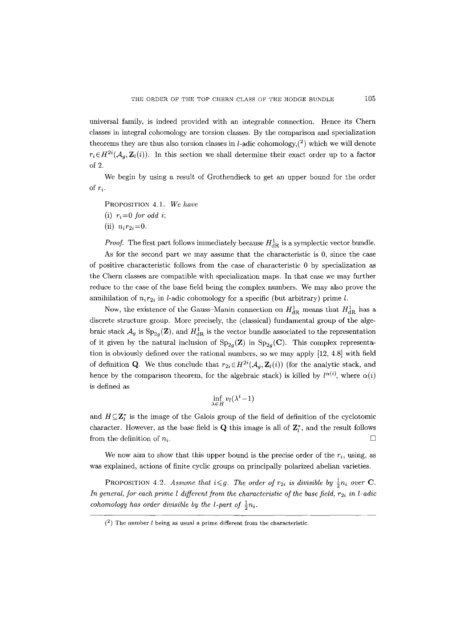universal family, is indeed provided with an integrable connection. Hence its Chern classes in integral cohomology are torsion classes. By the comparison and specialization theorems they are thus also torsion classes in *l*-adic cohomology, $(2)$  which we will denote  $r_i \in H^{2i}(\mathcal{A}_g, \mathbf{Z}_l(i))$ . In this section we shall determine their exact order up to a factor of 2.

We begin by using a result of Grothendieck to get an upper bound for the order of  $r_i$ .

- PROPOSITION *4.1. We have*
- (i)  $r_i=0$  *for odd i*;
- $(ii)$   $n_i r_{2i} = 0$ .

*Proof.* The first part follows immediately because  $H_{\text{dR}}^1$  is a symplectic vector bundle.

As for the second part we may assume that the characteristic is 0, since the case of positive characteristic follows from the case of characteristic 0 by specialization as the Chern classes are compatible with specialization maps. In that case we may further reduce to the case of the base field being the complex numbers. We may also prove the annihilation of  $n_i r_{2i}$  in *l*-adic cohomology for a specific (but arbitrary) prime *l*.

Now, the existence of the Gauss–Manin connection on  $H_{\rm dR}^1$  means that  $H_{\rm dR}^1$  has a discrete structure group. More precisely, the (classical) fundamental group of the algebraic stack  $\mathcal{A}_g$  is  $Sp_{2g}(\mathbf{Z})$ , and  $H^1_{dR}$  is the vector bundle associated to the representation of it given by the natural inclusion of  $Sp_{2q}(Z)$  in  $Sp_{2q}(C)$ . This complex representation is obviously defined over the rational numbers, so we may apply [12, 4.8] with field of definition Q. We thus conclude that  $r_{2i} \in H^{2i}(\mathcal{A}_a, \mathbf{Z}_l(i))$  (for the analytic stack, and hence by the comparison theorem, for the algebraic stack) is killed by  $l^{\alpha(i)}$ , where  $\alpha(i)$ is defined as

$$
\inf_{\lambda \in H} v_l(\lambda^i - 1)
$$

and  $H\subseteq \mathbf{Z}_{l}^{*}$  is the image of the Galois group of the field of definition of the cyclotomic character. However, as the base field is  $Q$  this image is all of  $\mathbb{Z}_{l}^{*}$ , and the result follows from the definition of  $n_i$ .

We now aim to show that this upper bound is the precise order of the  $r_i$ , using, as was explained, actions of finite cyclic groups on principally polarized abelian varieties.

**PROPOSITION** 4.2. Assume that  $i \leq g$ . The order of  $r_{2i}$  is divisible by  $\frac{1}{2}n_i$  over **C**. *In general, for each prime l different from the characteristic of the base field, r<sub>2i</sub> in l-adic cohomology has order divisible by the l-part of*  $\frac{1}{2}n_i$ .

 $(2)$  The number *l* being as usual a prime different from the characteristic.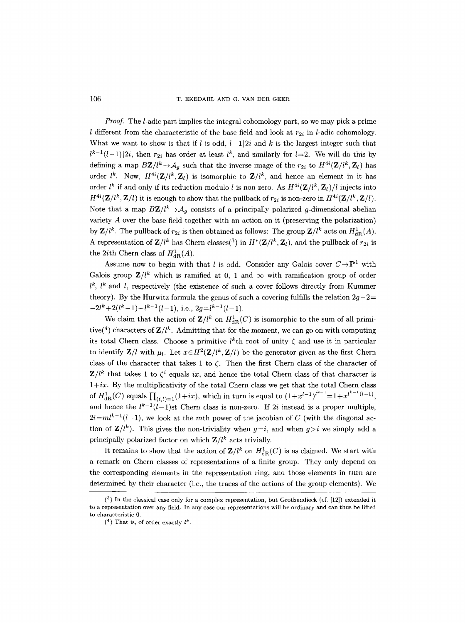106 T. EKEDAHL AND G. VAN DER GEER

*Proof.* The *l*-adic part implies the integral cohomology part, so we may pick a prime l different from the characteristic of the base field and look at  $r_{2i}$  in l-adic cohomology. What we want to show is that if  $l$  is odd,  $l-1|2i$  and  $k$  is the largest integer such that  $l^{k-1}(l-1)|2i$ , then  $r_{2i}$  has order at least  $l^k$ , and similarly for  $l=2$ . We will do this by defining a map  $BZ/l^k \rightarrow A_g$  such that the inverse image of the  $r_{2i}$  to  $H^{4i}(\mathbf{Z}/l^k, \mathbf{Z}_l)$  has order  $l^k$ . Now,  $H^{4i}(\mathbf{Z}/l^k, \mathbf{Z}_l)$  is isomorphic to  $\mathbf{Z}/l^k$ , and hence an element in it has order *l<sup>k</sup>* if and only if its reduction modulo *l* is non-zero. As  $H^{4i}(\mathbf{Z}/l^k, \mathbf{Z}_l)/l$  injects into  $H^{4i}(\mathbf{Z}/l^k, \mathbf{Z}/l)$  it is enough to show that the pullback of  $r_{2i}$  is non-zero in  $H^{4i}(\mathbf{Z}/l^k, \mathbf{Z}/l)$ . Note that a map  $BZ/l^k \rightarrow A_g$  consists of a principally polarized g-dimensional abelian variety A over the base field together with an action on it (preserving the polarization) by  $\mathbf{Z}/l^k$ . The pullback of  $r_{2i}$  is then obtained as follows: The group  $\mathbf{Z}/l^k$  acts on  $H_{\text{dR}}^1(A)$ . A representation of  $\mathbf{Z}/l^k$  has Chern classes(<sup>3</sup>) in  $H^*(\mathbf{Z}/l^k, \mathbf{Z}_l)$ , and the pullback of  $r_{2i}$  is the 2*i*th Chern class of  $H_{\text{dR}}^1(A)$ .

Assume now to begin with that l is odd. Consider any Galois cover  $C\rightarrow P^1$  with Galois group  $\mathbf{Z}/l^k$  which is ramified at 0, 1 and  $\infty$  with ramification group of order  $l^k$ ,  $l^k$  and l, respectively (the existence of such a cover follows directly from Kummer theory). By the Hurwitz formula the genus of such a covering fulfills the relation  $2g-2=$  $-2l^{k}+2(l^{k}-1)+l^{k-1}(l-1),$  i.e.,  $2q=l^{k-1}(l-1).$ 

We claim that the action of  $\mathbf{Z}/l^k$  on  $H^1_{\text{dR}}(C)$  is isomorphic to the sum of all primitive(<sup>4</sup>) characters of  $\mathbf{Z}/l^k$ . Admitting that for the moment, we can go on with computing its total Chern class. Choose a primitive  $l^k$ th root of unity  $\zeta$  and use it in particular to identify  $\mathbf{Z}/l$  with  $\mu_l$ . Let  $x \in H^2(\mathbf{Z}/l^k, \mathbf{Z}/l)$  be the generator given as the first Chern class of the character that takes 1 to  $\zeta$ . Then the first Chern class of the character of  $Z/l^k$  that takes 1 to  $\zeta^i$  equals *ix*, and hence the total Chern class of that character is  $1+ix$ . By the multiplicativity of the total Chern class we get that the total Chern class of  $H_{\text{dR}}^1(C)$  equals  $\prod_{(i,l)=1}(1+ix)$ , which in turn is equal to  $(1+x^{l-1})^{l^{k-1}}=1+x^{l^{k-1}(l-1)}$ , and hence the  $l^{k-1}(l-1)$ st Chern class is non-zero. If 2i instead is a proper multiple,  $2i=ml^{k-1}(l-1)$ , we look at the m<sup>th</sup> power of the jacobian of C (with the diagonal action of  $\mathbf{Z}/l^k$ ). This gives the non-triviality when  $g=i$ , and when  $g>i$  we simply add a principally polarized factor on which  $Z/l^k$  acts trivially.

It remains to show that the action of  $\mathbf{Z}/l^k$  on  $H^1_{\text{dR}}(C)$  is as claimed. We start with a remark on Chern classes of representations of a finite group. They only depend on the corresponding elements in the representation ring, and those elements in turn are determined by their character (i.e., the traces of the actions of the group elements). We

 $(3)$  In the classical case only for a complex representation, but Grothendieck (cf. [12]) extended it to a representation over any field. In any case our representations will be ordinary and can thus be lifted to characteristic 0.

<sup>(&</sup>lt;sup>4</sup>) That is, of order exactly  $l^k$ .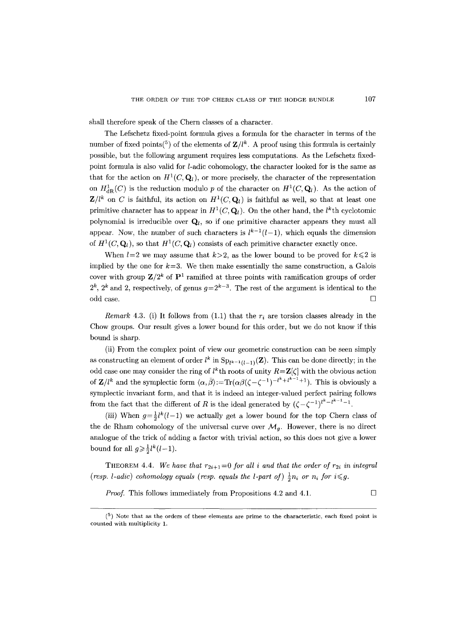shall therefore speak of the Chern classes of a character.

The Lefschetz fixed-point formula gives a formula for the character in terms of the number of fixed points(<sup>5</sup>) of the elements of  $\mathbb{Z}/l^k$ . A proof using this formula is certainly possible, but the following argument requires less computations. As the Lefschetz fixedpoint formula is also valid for l-adic cohomology, the character looked for is the same as that for the action on  $H^1(C, \mathbf{Q}_l)$ , or more precisely, the character of the representation on  $H^1_{\text{dR}}(C)$  is the reduction modulo p of the character on  $H^1(C, \mathbf{Q}_l)$ . As the action of  $\mathbf{Z}/l^k$  on C is faithful, its action on  $H^1(C, \mathbf{Q}_l)$  is faithful as well, so that at least one primitive character has to appear in  $H^1(C, \mathbf{Q}_l)$ . On the other hand, the *l*<sup>k</sup>th cyclotomic polynomial is irreducible over  $\mathbf{Q}_l$ , so if one primitive character appears they must all appear. Now, the number of such characters is  $l^{k-1}(l-1)$ , which equals the dimension of  $H^1(C, \mathbf{Q}_l)$ , so that  $H^1(C, \mathbf{Q}_l)$  consists of each primitive character exactly once.

When  $l=2$  we may assume that  $k>2$ , as the lower bound to be proved for  $k \leq 2$  is implied by the one for  $k=3$ . We then make essentially the same construction, a Galois cover with group  $\mathbf{Z}/2^k$  of  $\mathbf{P}^1$  ramified at three points with ramification groups of order  $2^k$ ,  $2^k$  and 2, respectively, of genus  $g=2^{k-3}$ . The rest of the argument is identical to the odd case.  $\Box$ 

*Remark* 4.3. (i) It follows from  $(1.1)$  that the  $r_i$  are torsion classes already in the Chow groups. Our result gives a lower bound for this order, but we do not know if this bound is sharp.

(ii) From the complex point of view our geometric construction can be seen simply as constructing an element of order  $l^k$  in  $\text{Sp}_{l^{k-1}(l-1)}(\mathbf{Z})$ . This can be done directly; in the odd case one may consider the ring of  $l^k$ th roots of unity  $R = \mathbf{Z}[\zeta]$  with the obvious action of  $\mathbf{Z}/l^k$  and the symplectic form  $\langle \alpha, \overline{\beta} \rangle := \text{Tr}(\alpha \beta(\zeta - \zeta^{-1})^{-l^k + l^{k-1}+1})$ . This is obviously a symplectic invariant form, and that it is indeed an integer-valued perfect pairing follows from the fact that the different of R is the ideal generated by  $(\zeta-\zeta^{-1})^{l^k-l^{k-1}-1}$ .

(iii) When  $g=\frac{1}{2}l^k(l-1)$  we actually get a lower bound for the top Chern class of the de Rham cohomology of the universal curve over  $\mathcal{M}_q$ . However, there is no direct analogue of the trick of adding a factor with trivial action, so this does not give a lower bound for all  $g \geq \frac{1}{2}l^k(l-1)$ .

THEOREM 4.4. We have that  $r_{2i+1}=0$  for all i and that the order of  $r_{2i}$  in integral *(resp. 1-adic) cohomology equals (resp. equals the 1-part of)*  $\frac{1}{2}n_i$  *or n<sub>i</sub>* for  $i \leq g$ .

*Proof.* This follows immediately from Propositions 4.2 and 4.1.  $\Box$ 

 $(5)$  Note that as the orders of these elements are prime to the characteristic, each fixed point is counted with multiplicity 1.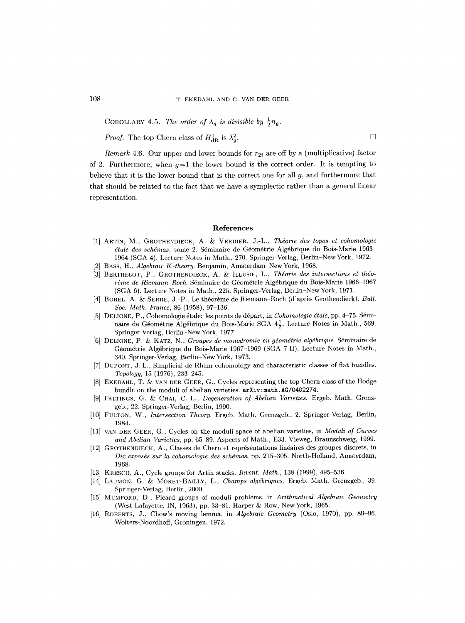COROLLARY 4.5. *The order of*  $\lambda_q$  *is divisible by*  $\frac{1}{2}n_q$ .

*Proof.* The top Chern class of  $H_{\text{dR}}^1$  is  $\lambda_q^2$ .

*Remark* 4.6. Our upper and lower bounds for  $r_{2i}$  are off by a (multiplicative) factor of 2. Furthermore, when  $q=1$  the lower bound is the correct order. It is tempting to believe that it is the lower bound that is the correct one for all g, and furthermore that that should be related to the fact that we have a symplectic rather than a general linear representation.

#### **References**

- [1] ARTIN, M., GROTHENDIECK, A. & VERDIER, J.-L., *Thdorie des topos et cohomologie étale des schémas, tome 2. Séminaire de Géométrie Algébrique du Bois-Marie 1963-*1964 (SGA 4). Lecture Notes in Math., 270. Springer-Verlag, Berlin-NewYork, 1972.
- [2] BASS, H., *Algebraic K-theory.* Benjamin, Amsterdam-New York, 1968.
- [3] BERTHELOT, P., GROTHENDIECE, A. & ILLUSIE, L., *Thdorie des intersections et thdorème de Riemann-Roch.* Séminaire de Géométrie Algébrique du Bois-Marie 1966–1967 (SGA 6). Lecture Notes in Math., 225. Springer-Verlag, Berlin-New York, 1971.
- [4] BOREL, A. & SERRE, J.-P., Le théorème de Riemann-Roch (d'après Grothendieck). *Bull. Soc. Math. France,* 86 (1958), 97-136.
- [5] DELIGNE, P., Cohomologie étale: les points de départ, in *Cohomologie étale*, pp. 4-75. Séminaire de Géométrie Algébrique du Bois-Marie SGA  $4\frac{1}{2}$ . Lecture Notes in Math., 569. Springer-Verlag, Berlin-New York, 1977.
- [6] DELIGNE, P. &: KATZ, N., *Groupes de monodromie en gdomdtrie algdbrique.* Sdminaire de Géométrie Algébrique du Bois-Marie 1967-1969 (SGA 7 II). Lecture Notes in Math., 340. Springer-Verlag, Berlin-New York, 1973.
- [7] DUPONT, J. L., Simplicial de Rham cohomology and characteristic classes of fiat bundles. *Topology*, 15 (1976), 233-245.
- [8] EKEDAHL, T. & VAN DER GEER, G., Cycles representing the top Chern class of the Hodge bundle on the moduli of abelian varieties. arXiv:math.AG/0402274.
- [9] FALTINGS, G. & CHAI, C.-L., *Degeneration of Abelian Varieties.* Ergeb. Math. Grenzgeb., 22. Springer-Verlag, Berlin, 1990.
- [10] FULTON, W., *Intersection Theory.* Ergeb. Math. Grenzgeb., 2. Springer-Verlag, Berlin, 1984.
- [11] VAN DER GEER, G., Cycles on the moduli space of abelian varieties, in *Moduli of Curves*  and Abelian Varieties, pp. 65-89. Aspects of Math., E33. Vieweg, Braunschweig, 1999.
- [12] GROTHENDIECK, A., Classes de Chern et représentations linéaires des groupes discrets, in *Dix exposds Bur la cohomologie des schdmas,* pp. 215-305. North-Holland, Amsterdam, 1968.
- [13] KRESCH, A., Cycle groups for Artin stacks. *Invent. Math.*, 138 (1999), 495-536.
- [14] LAUMON, G. & MORET-BAILLY, L., *Champs algébriques.* Ergeb. Math. Grenzgeb., 39. Springer-Verlag, Berlin, 2000.
- [15] MUMFORD, D., Picard groups of moduli problems, in *Arithmetical Algebraic Geometry*  (West Lafayette, IN, 1963), pp. 33-81. Harper & Row, New York, 1965.
- [16] ROBERTS, J., Chow's moving lemma, in *Algebraic Geometry* (Oslo, 1970), pp. 89 96. Wolters-Noordhoff, Groningen, 1972.